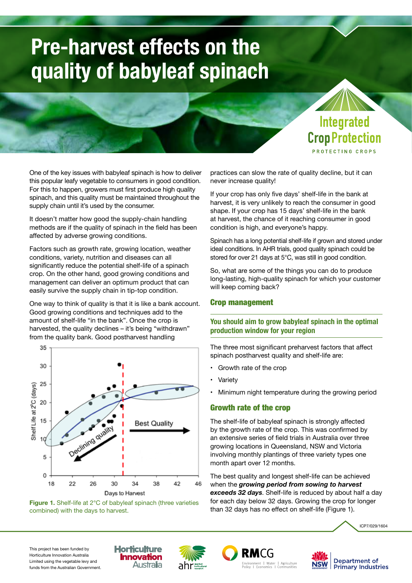# **Pre-harvest effects on the quality of babyleaf spinach**



PROTECTING CROPS

One of the key issues with babyleaf spinach is how to deliver this popular leafy vegetable to consumers in good condition. For this to happen, growers must first produce high quality spinach, and this quality must be maintained throughout the supply chain until it's used by the consumer.

It doesn't matter how good the supply-chain handling methods are if the quality of spinach in the field has been affected by adverse growing conditions.

Factors such as growth rate, growing location, weather conditions, variety, nutrition and diseases can all significantly reduce the potential shelf-life of a spinach crop. On the other hand, good growing conditions and management can deliver an optimum product that can easily survive the supply chain in tip-top condition.

One way to think of quality is that it is like a bank account. Good growing conditions and techniques add to the amount of shelf-life "in the bank". Once the crop is harvested, the quality declines - it's being "withdrawn" from the quality bank. Good postharvest handling





practices can slow the rate of quality decline, but it can never increase quality!

If your crop has only five days' shelf-life in the bank at harvest, it is very unlikely to reach the consumer in good shape. If your crop has 15 days' shelf-life in the bank at harvest, the chance of it reaching consumer in good condition is high, and everyone's happy.

Spinach has a long potential shelf-life if grown and stored under ideal conditions. In AHR trials, good quality spinach could be stored for over 21 days at 5°C, was still in good condition.

So, what are some of the things you can do to produce long-lasting, high-quality spinach for which your customer will keep coming back?

## Crop management

## **You should aim to grow babyleaf spinach in the optimal production window for your region**

The three most significant preharvest factors that affect spinach postharvest quality and shelf-life are:

- Growth rate of the crop
- **Variety**
- Minimum night temperature during the growing period

# Growth rate of the crop

The shelf-life of babyleaf spinach is strongly affected by the growth rate of the crop. This was confirmed by an extensive series of field trials in Australia over three growing locations in Queensland, NSW and Victoria involving monthly plantings of three variety types one month apart over 12 months.

The best quality and longest shelf-life can be achieved when the *growing period from sowing to harvest exceeds 32 days*. Shelf-life is reduced by about half a day for each day below 32 days. Growing the crop for longer than 32 days has no effect on shelf-life (Figure 1).

ICP7/029/1604

This project has been funded by Horticulture Innovation Australia Limited using the vegetable levy and funds from the Australian Government.







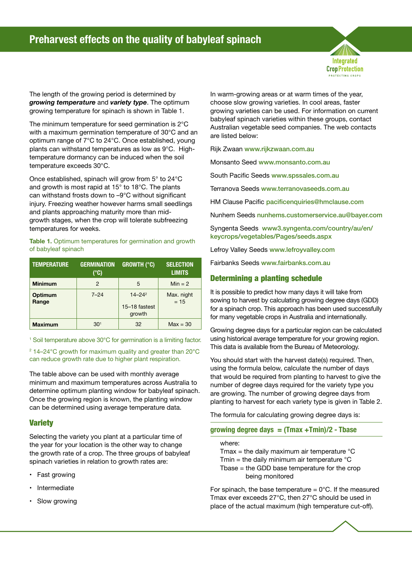

The length of the growing period is determined by *growing temperature* and *variety type*. The optimum growing temperature for spinach is shown in Table 1.

The minimum temperature for seed germination is 2°C with a maximum germination temperature of 30°C and an optimum range of 7°C to 24°C. Once established, young plants can withstand temperatures as low as 9°C. Hightemperature dormancy can be induced when the soil temperature exceeds 30°C.

Once established, spinach will grow from 5° to 24°C and growth is most rapid at 15° to 18°C. The plants can withstand frosts down to –9°C without significant injury. Freezing weather however harms small seedlings and plants approaching maturity more than midgrowth stages, when the crop will tolerate subfreezing temperatures for weeks.

#### Table 1. Optimum temperatures for germination and growth of babyleaf spinach

| <b>TEMPERATURE</b> | <b>GERMINATION</b><br>(°C) | <b>GROWTH (°C)</b>                     | <b>SELECTION</b><br><b>LIMITS</b> |
|--------------------|----------------------------|----------------------------------------|-----------------------------------|
| <b>Minimum</b>     | $\mathfrak{p}$             | 5                                      | $Min = 2$                         |
| Optimum<br>Range   | $7 - 24$                   | $14 - 24^2$<br>15-18 fastest<br>growth | Max. night<br>$= 15$              |
| <b>Maximum</b>     | $30^{1}$                   | 32                                     | $Max = 30$                        |

<sup>1</sup> Soil temperature above 30°C for germination is a limiting factor.

2 14–24°C growth for maximum quality and greater than 20°C can reduce growth rate due to higher plant respiration.

The table above can be used with monthly average minimum and maximum temperatures across Australia to determine optimum planting window for babyleaf spinach. Once the growing region is known, the planting window can be determined using average temperature data.

# **Variety**

Selecting the variety you plant at a particular time of the year for your location is the other way to change the growth rate of a crop. The three groups of babyleaf spinach varieties in relation to growth rates are:

- Fast growing
- **Intermediate**
- Slow growing

In warm-growing areas or at warm times of the year, choose slow growing varieties. In cool areas, faster growing varieties can be used. For information on current babyleaf spinach varieties within these groups, contact Australian vegetable seed companies. The web contacts are listed below:

Rijk Zwaan [www.rijkzwaan.com.au](http://www.rijkzwaan.com.au)

Monsanto Seed [www.monsanto.com.au](http://www.monsanto.com.au)

South Pacific Seeds [www.spssales.com.au](http://www.spssales.com.au)

Terranova Seeds [www.terranovaseeds.com.au](http://www.terranovaseeds.com.au)

HM Clause Pacific [pacificenquiries@hmclause.com](mailto:pacificenquiries@hmclause.com)

Nunhem Seeds [nunhems.customerservice.au@bayer.com](mailto:nunhems.customerservice.au@bayer.com)

Syngenta Seeds [www3.syngenta.com/country/au/en/](http://www3.syngenta.com/country/au/en/keycrops/vegetables/Pages/seeds.aspx) [keycrops/vegetables/Pages/seeds.aspx](http://www3.syngenta.com/country/au/en/keycrops/vegetables/Pages/seeds.aspx)

Lefroy Valley Seeds [www.lefroyvalley.com](http://www.lefroyvalley.com)

Fairbanks Seeds [www.fairbanks.com.au](http://www.fairbanks.com.au)

# Determining a planting schedule

It is possible to predict how many days it will take from sowing to harvest by calculating growing degree days (GDD) for a spinach crop. This approach has been used successfully for many vegetable crops in Australia and internationally.

Growing degree days for a particular region can be calculated using historical average temperature for your growing region. This data is available from the Bureau of Meteorology.

You should start with the harvest date(s) required. Then, using the formula below, calculate the number of days that would be required from planting to harvest to give the number of degree days required for the variety type you are growing. The number of growing degree days from planting to harvest for each variety type is given in Table 2.

The formula for calculating growing degree days is:

#### **growing degree days = (Tmax +Tmin)/2 - Tbase**

where:

- Tmax = the daily maximum air temperature  $\degree C$
- Tmin = the daily minimum air temperature  $\mathrm{C}$
- Tbase = the GDD base temperature for the crop being monitored

For spinach, the base temperature =  $0^{\circ}$ C. If the measured Tmax ever exceeds 27°C, then 27°C should be used in place of the actual maximum (high temperature cut-off).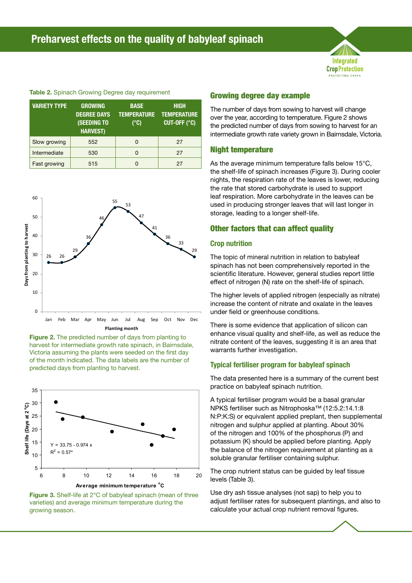

#### Table 2. Spinach Growing Degree day requirement

| <b>VARIETY TYPE</b> | <b>GROWING</b><br><b>DEGREE DAYS</b><br><b>(SEEDING TO</b><br><b>HARVEST)</b> | <b>BASE</b><br><b>TEMPERATURE</b><br>(°C) | <b>HIGH</b><br><b>TEMPERATURE</b><br>CUT-OFF (°C) |
|---------------------|-------------------------------------------------------------------------------|-------------------------------------------|---------------------------------------------------|
| Slow growing        | 552                                                                           | 0                                         | 27                                                |
| Intermediate        | 530                                                                           | 0                                         | 27                                                |
| Fast growing        | 515                                                                           |                                           | 27                                                |







Figure 3. Shelf-life at 2°C of babyleaf spinach (mean of three varieties) and average minimum temperature during the growing season.

## Growing degree day example

The number of days from sowing to harvest will change over the year, according to temperature. Figure 2 shows the predicted number of days from sowing to harvest for an intermediate growth rate variety grown in Bairnsdale, Victoria.

#### Night temperature

As the average minimum temperature falls below 15°C, the shelf-life of spinach increases (Figure 3). During cooler nights, the respiration rate of the leaves is lower, reducing the rate that stored carbohydrate is used to support leaf respiration. More carbohydrate in the leaves can be used in producing stronger leaves that will last longer in storage, leading to a longer shelf-life.

#### Other factors that can affect quality

#### **Crop nutrition**

The topic of mineral nutrition in relation to babyleaf spinach has not been comprehensively reported in the scientific literature. However, general studies report little effect of nitrogen (N) rate on the shelf-life of spinach.

The higher levels of applied nitrogen (especially as nitrate) increase the content of nitrate and oxalate in the leaves under field or greenhouse conditions.

There is some evidence that application of silicon can enhance visual quality and shelf-life, as well as reduce the nitrate content of the leaves, suggesting it is an area that warrants further investigation.

#### **Typical fertiliser program for babyleaf spinach**

The data presented here is a summary of the current best practice on babyleaf spinach nutrition.

A typical fertiliser program would be a basal granular NPKS fertiliser such as Nitrophoska™ (12:5.2:14.1:8 N:P:K:S) or equivalent applied preplant, then supplemental nitrogen and sulphur applied at planting. About 30% of the nitrogen and 100% of the phosphorus (P) and potassium (K) should be applied before planting. Apply the balance of the nitrogen requirement at planting as a soluble granular fertiliser containing sulphur.

The crop nutrient status can be guided by leaf tissue levels (Table 3).

Use dry ash tissue analyses (not sap) to help you to adjust fertiliser rates for subsequent plantings, and also to calculate your actual crop nutrient removal figures.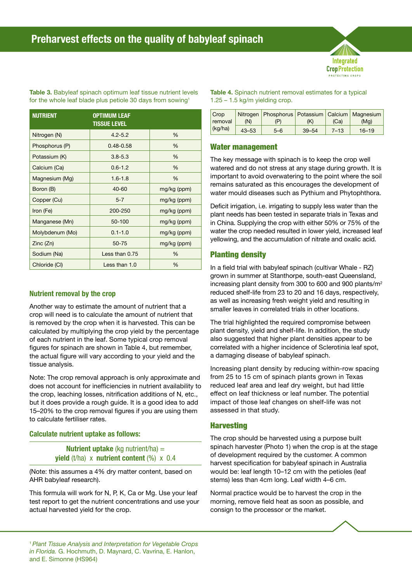Integrated **CropProtection** .<br>ΓECTING CROP

Table 3. Babyleaf spinach optimum leaf tissue nutrient levels for the whole leaf blade plus petiole 30 days from sowing<sup>1</sup>

| <b>NUTRIENT</b> | <b>OPTIMUM LEAF</b><br>Tissue Level |             |
|-----------------|-------------------------------------|-------------|
| Nitrogen (N)    | $4.2 - 5.2$                         | %           |
| Phosphorus (P)  | $0.48 - 0.58$                       | $\%$        |
| Potassium (K)   | $3.8 - 5.3$                         | $\%$        |
| Calcium (Ca)    | $0.6 - 1.2$                         | %           |
| Magnesium (Mg)  | $1.6 - 1.8$                         | $\%$        |
| Boron (B)       | $40 - 60$                           | mg/kg (ppm) |
| Copper (Cu)     | $5 - 7$                             | mg/kg (ppm) |
| Iron (Fe)       | 200-250                             | mg/kg (ppm) |
| Manganese (Mn)  | 50-100                              | mg/kg (ppm) |
| Molybdenum (Mo) | $0.1 - 1.0$                         | mg/kg (ppm) |
| Zinc (Zn)       | 50-75                               | mg/kg (ppm) |
| Sodium (Na)     | Less than 0.75                      | $\%$        |
| Chloride (CI)   | Less than 1.0                       | %           |

# **Nutrient removal by the crop**

Another way to estimate the amount of nutrient that a crop will need is to calculate the amount of nutrient that is removed by the crop when it is harvested. This can be calculated by multiplying the crop yield by the percentage of each nutrient in the leaf. Some typical crop removal figures for spinach are shown in Table 4, but remember, the actual figure will vary according to your yield and the tissue analysis.

Note: The crop removal approach is only approximate and does not account for inefficiencies in nutrient availability to the crop, leaching losses, nitrification additions of N, etc., but it does provide a rough guide. It is a good idea to add 15–20% to the crop removal figures if you are using them to calculate fertiliser rates.

## **Calculate nutrient uptake as follows:**

## **Nutrient uptake** (kg nutrient/ha) = **yield** (t/ha) x **nutrient content** (%) x 0.4

(Note: this assumes a 4% dry matter content, based on AHR babyleaf research).

This formula will work for N, P, K, Ca or Mg. Use your leaf test report to get the nutrient concentrations and use your actual harvested yield for the crop.

Table 4. Spinach nutrient removal estimates for a typical  $1.25 - 1.5$  kg/m yielding crop.

| Crop<br>removal | (N)       | Nitrogen   Phosphorus   Potassium   Calcium   Magnesium | (K)       | (Ca)     | (Ma)      |
|-----------------|-----------|---------------------------------------------------------|-----------|----------|-----------|
| (kg/ha)         | $43 - 53$ | $5 - 6$                                                 | $39 - 54$ | $7 - 13$ | $16 - 19$ |

## Water management

The key message with spinach is to keep the crop well watered and do not stress at any stage during growth. It is important to avoid overwatering to the point where the soil remains saturated as this encourages the development of water mould diseases such as Pythium and Phytophthora.

Deficit irrigation, i.e. irrigating to supply less water than the plant needs has been tested in separate trials in Texas and in China. Supplying the crop with either 50% or 75% of the water the crop needed resulted in lower yield, increased leaf yellowing, and the accumulation of nitrate and oxalic acid.

# Planting density

In a field trial with babyleaf spinach (cultivar Whale - RZ) grown in summer at Stanthorpe, south-east Queensland, increasing plant density from 300 to 600 and 900 plants/m2 reduced shelf-life from 23 to 20 and 16 days, respectively, as well as increasing fresh weight yield and resulting in smaller leaves in correlated trials in other locations.

The trial highlighted the required compromise between plant density, yield and shelf-life. In addition, the study also suggested that higher plant densities appear to be correlated with a higher incidence of Sclerotinia leaf spot, a damaging disease of babyleaf spinach.

Increasing plant density by reducing within-row spacing from 25 to 15 cm of spinach plants grown in Texas reduced leaf area and leaf dry weight, but had little effect on leaf thickness or leaf number. The potential impact of those leaf changes on shelf-life was not assessed in that study.

# **Harvesting**

The crop should be harvested using a purpose built spinach harvester (Photo 1) when the crop is at the stage of development required by the customer. A common harvest specification for babyleaf spinach in Australia would be: leaf length 10–12 cm with the petioles (leaf stems) less than 4cm long. Leaf width 4–6 cm.

Normal practice would be to harvest the crop in the morning, remove field heat as soon as possible, and consign to the processor or the market.

<sup>1</sup>*Plant Tissue Analysis and Interpretation for Vegetable Crops in Florida.* G. Hochmuth, D. Maynard, C. Vavrina, E. Hanlon, and E. Simonne (HS964)